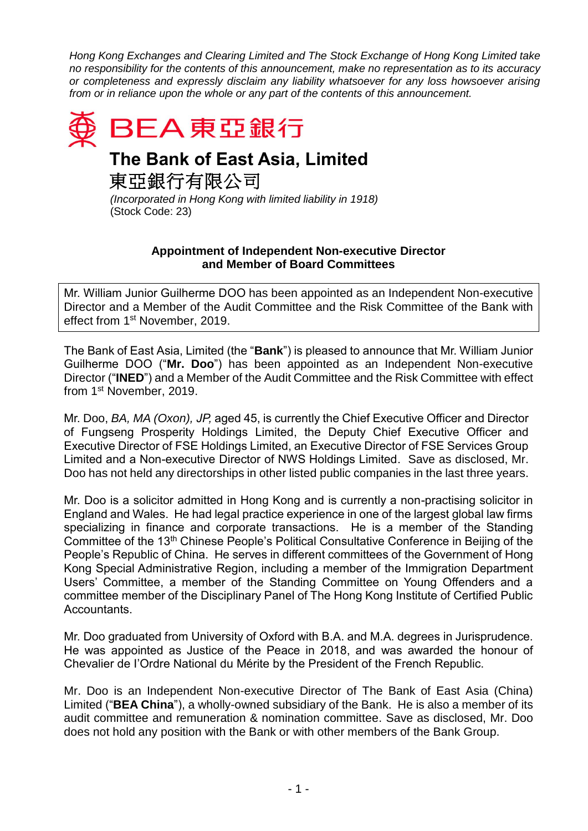*Hong Kong Exchanges and Clearing Limited and The Stock Exchange of Hong Kong Limited take no responsibility for the contents of this announcement, make no representation as to its accuracy or completeness and expressly disclaim any liability whatsoever for any loss howsoever arising from or in reliance upon the whole or any part of the contents of this announcement.*



## **The Bank of East Asia, Limited**

東亞銀行有限公司

*(Incorporated in Hong Kong with limited liability in 1918)* (Stock Code: 23)

## **Appointment of Independent Non-executive Director and Member of Board Committees**

Mr. William Junior Guilherme DOO has been appointed as an Independent Non-executive Director and a Member of the Audit Committee and the Risk Committee of the Bank with effect from 1<sup>st</sup> November, 2019.

The Bank of East Asia, Limited (the "**Bank**") is pleased to announce that Mr. William Junior Guilherme DOO ("**Mr. Doo**") has been appointed as an Independent Non-executive Director ("**INED**") and a Member of the Audit Committee and the Risk Committee with effect from 1 st November, 2019.

Mr. Doo, *BA, MA (Oxon), JP,* aged 45, is currently the Chief Executive Officer and Director of Fungseng Prosperity Holdings Limited, the Deputy Chief Executive Officer and Executive Director of FSE Holdings Limited, an Executive Director of FSE Services Group Limited and a Non-executive Director of NWS Holdings Limited. Save as disclosed, Mr. Doo has not held any directorships in other listed public companies in the last three years.

Mr. Doo is a solicitor admitted in Hong Kong and is currently a non-practising solicitor in England and Wales. He had legal practice experience in one of the largest global law firms specializing in finance and corporate transactions. He is a member of the Standing Committee of the 13<sup>th</sup> Chinese People's Political Consultative Conference in Beijing of the People's Republic of China. He serves in different committees of the Government of Hong Kong Special Administrative Region, including a member of the Immigration Department Users' Committee, a member of the Standing Committee on Young Offenders and a committee member of the Disciplinary Panel of The Hong Kong Institute of Certified Public Accountants.

Mr. Doo graduated from University of Oxford with B.A. and M.A. degrees in Jurisprudence. He was appointed as Justice of the Peace in 2018, and was awarded the honour of Chevalier de I'Ordre National du Mérite by the President of the French Republic.

Mr. Doo is an Independent Non-executive Director of The Bank of East Asia (China) Limited ("**BEA China**"), a wholly-owned subsidiary of the Bank. He is also a member of its audit committee and remuneration & nomination committee. Save as disclosed, Mr. Doo does not hold any position with the Bank or with other members of the Bank Group.